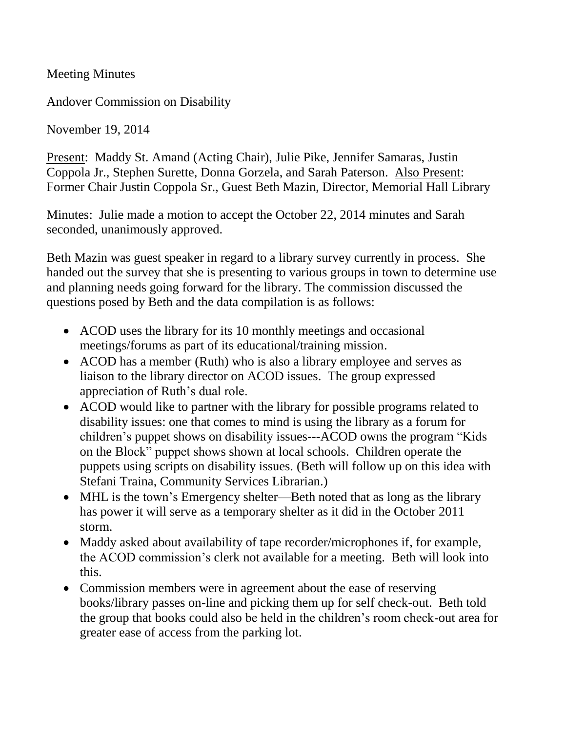Meeting Minutes

Andover Commission on Disability

November 19, 2014

Present: Maddy St. Amand (Acting Chair), Julie Pike, Jennifer Samaras, Justin Coppola Jr., Stephen Surette, Donna Gorzela, and Sarah Paterson. Also Present: Former Chair Justin Coppola Sr., Guest Beth Mazin, Director, Memorial Hall Library

Minutes: Julie made a motion to accept the October 22, 2014 minutes and Sarah seconded, unanimously approved.

Beth Mazin was guest speaker in regard to a library survey currently in process. She handed out the survey that she is presenting to various groups in town to determine use and planning needs going forward for the library. The commission discussed the questions posed by Beth and the data compilation is as follows:

- ACOD uses the library for its 10 monthly meetings and occasional meetings/forums as part of its educational/training mission.
- ACOD has a member (Ruth) who is also a library employee and serves as liaison to the library director on ACOD issues. The group expressed appreciation of Ruth's dual role.
- ACOD would like to partner with the library for possible programs related to disability issues: one that comes to mind is using the library as a forum for children's puppet shows on disability issues---ACOD owns the program "Kids on the Block" puppet shows shown at local schools. Children operate the puppets using scripts on disability issues. (Beth will follow up on this idea with Stefani Traina, Community Services Librarian.)
- MHL is the town's Emergency shelter—Beth noted that as long as the library has power it will serve as a temporary shelter as it did in the October 2011 storm.
- Maddy asked about availability of tape recorder/microphones if, for example, the ACOD commission's clerk not available for a meeting. Beth will look into this.
- Commission members were in agreement about the ease of reserving books/library passes on-line and picking them up for self check-out. Beth told the group that books could also be held in the children's room check-out area for greater ease of access from the parking lot.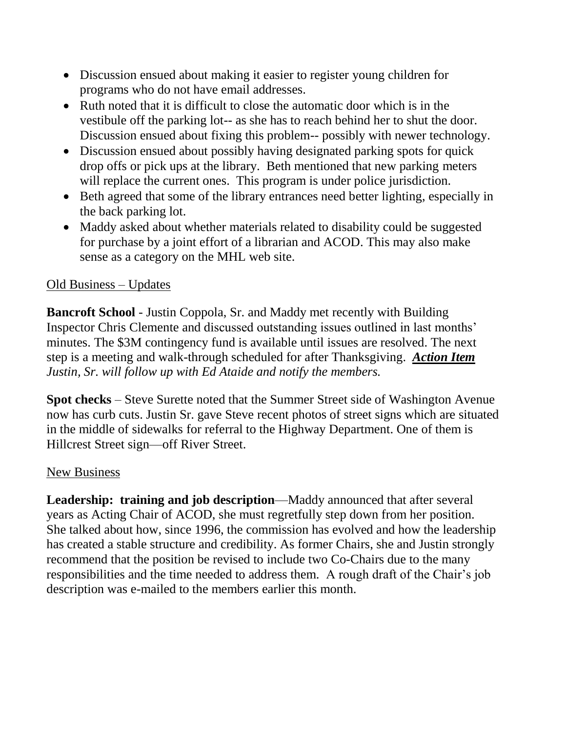- Discussion ensued about making it easier to register young children for programs who do not have email addresses.
- Ruth noted that it is difficult to close the automatic door which is in the vestibule off the parking lot-- as she has to reach behind her to shut the door. Discussion ensued about fixing this problem-- possibly with newer technology.
- Discussion ensued about possibly having designated parking spots for quick drop offs or pick ups at the library. Beth mentioned that new parking meters will replace the current ones. This program is under police jurisdiction.
- Beth agreed that some of the library entrances need better lighting, especially in the back parking lot.
- Maddy asked about whether materials related to disability could be suggested for purchase by a joint effort of a librarian and ACOD. This may also make sense as a category on the MHL web site.

## Old Business – Updates

**Bancroft School** - Justin Coppola, Sr. and Maddy met recently with Building Inspector Chris Clemente and discussed outstanding issues outlined in last months' minutes. The \$3M contingency fund is available until issues are resolved. The next step is a meeting and walk-through scheduled for after Thanksgiving. *Action Item Justin, Sr. will follow up with Ed Ataide and notify the members.*

**Spot checks** – Steve Surette noted that the Summer Street side of Washington Avenue now has curb cuts. Justin Sr. gave Steve recent photos of street signs which are situated in the middle of sidewalks for referral to the Highway Department. One of them is Hillcrest Street sign—off River Street.

## New Business

**Leadership: training and job description**—Maddy announced that after several years as Acting Chair of ACOD, she must regretfully step down from her position. She talked about how, since 1996, the commission has evolved and how the leadership has created a stable structure and credibility. As former Chairs, she and Justin strongly recommend that the position be revised to include two Co-Chairs due to the many responsibilities and the time needed to address them. A rough draft of the Chair's job description was e-mailed to the members earlier this month.